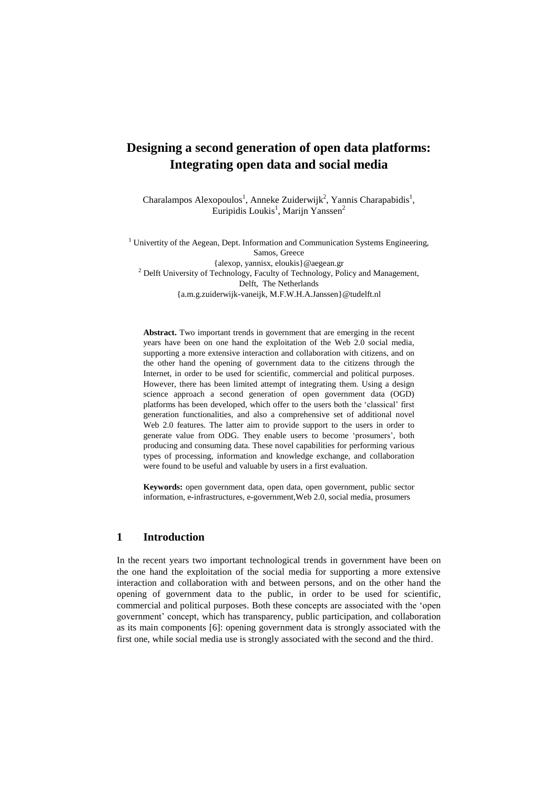# **Designing a second generation of open data platforms: Integrating open data and social media**

Charalampos Alexopoulos<sup>1</sup>, Anneke Zuiderwijk<sup>2</sup>, Yannis Charapabidis<sup>1</sup>, Euripidis Loukis<sup>1</sup>, Marijn Yanssen<sup>2</sup>

 $1$  Univertity of the Aegean, Dept. Information and Communication Systems Engineering, Samos, Greece {alexop, yannisx, eloukis}@aegean.gr  $2$  Delft University of Technology, Faculty of Technology, Policy and Management, Delft, The Netherlands {a.m.g.zuiderwijk-vaneijk, M.F.W.H.A.Janssen}@tudelft.nl

**Abstract.** Two important trends in government that are emerging in the recent years have been on one hand the exploitation of the Web 2.0 social media, supporting a more extensive interaction and collaboration with citizens, and on the other hand the opening of government data to the citizens through the Internet, in order to be used for scientific, commercial and political purposes. However, there has been limited attempt of integrating them. Using a design science approach a second generation of open government data (OGD) platforms has been developed, which offer to the users both the "classical" first generation functionalities, and also a comprehensive set of additional novel Web 2.0 features. The latter aim to provide support to the users in order to generate value from ODG. They enable users to become 'prosumers', both producing and consuming data. These novel capabilities for performing various types of processing, information and knowledge exchange, and collaboration were found to be useful and valuable by users in a first evaluation.

**Keywords:** open government data, open data, open government, public sector information, e-infrastructures, e-government,Web 2.0, social media, prosumers

## **1 Introduction**

In the recent years two important technological trends in government have been on the one hand the exploitation of the social media for supporting a more extensive interaction and collaboration with and between persons, and on the other hand the opening of government data to the public, in order to be used for scientific, commercial and political purposes. Both these concepts are associated with the "open government" concept, which has transparency, public participation, and collaboration as its main components [6]: opening government data is strongly associated with the first one, while social media use is strongly associated with the second and the third.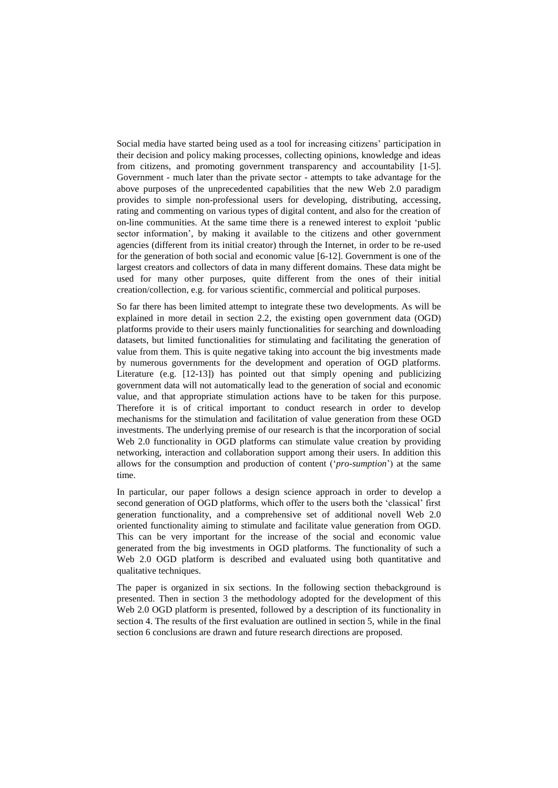Social media have started being used as a tool for increasing citizens" participation in their decision and policy making processes, collecting opinions, knowledge and ideas from citizens, and promoting government transparency and accountability [1-5]. Government - much later than the private sector - attempts to take advantage for the above purposes of the unprecedented capabilities that the new Web 2.0 paradigm provides to simple non-professional users for developing, distributing, accessing, rating and commenting on various types of digital content, and also for the creation of on-line communities. At the same time there is a renewed interest to exploit "public sector information", by making it available to the citizens and other government agencies (different from its initial creator) through the Internet, in order to be re-used for the generation of both social and economic value [6-12]. Government is one of the largest creators and collectors of data in many different domains. These data might be used for many other purposes, quite different from the ones of their initial creation/collection, e.g. for various scientific, commercial and political purposes.

So far there has been limited attempt to integrate these two developments. As will be explained in more detail in section 2.2, the existing open government data (OGD) platforms provide to their users mainly functionalities for searching and downloading datasets, but limited functionalities for stimulating and facilitating the generation of value from them. This is quite negative taking into account the big investments made by numerous governments for the development and operation of OGD platforms. Literature (e.g. [12-13]) has pointed out that simply opening and publicizing government data will not automatically lead to the generation of social and economic value, and that appropriate stimulation actions have to be taken for this purpose. Therefore it is of critical important to conduct research in order to develop mechanisms for the stimulation and facilitation of value generation from these OGD investments. The underlying premise of our research is that the incorporation of social Web 2.0 functionality in OGD platforms can stimulate value creation by providing networking, interaction and collaboration support among their users. In addition this allows for the consumption and production of content ("*pro-sumption*") at the same time.

In particular, our paper follows a design science approach in order to develop a second generation of OGD platforms, which offer to the users both the "classical" first generation functionality, and a comprehensive set of additional novell Web 2.0 oriented functionality aiming to stimulate and facilitate value generation from OGD. This can be very important for the increase of the social and economic value generated from the big investments in OGD platforms. The functionality of such a Web 2.0 OGD platform is described and evaluated using both quantitative and qualitative techniques.

The paper is organized in six sections. In the following section thebackground is presented. Then in section 3 the methodology adopted for the development of this Web 2.0 OGD platform is presented, followed by a description of its functionality in section 4. The results of the first evaluation are outlined in section 5, while in the final section 6 conclusions are drawn and future research directions are proposed.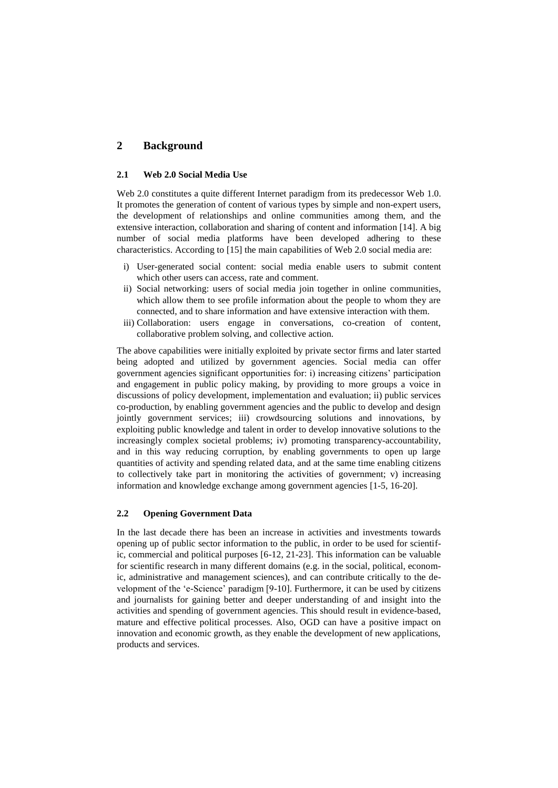# **2 Background**

#### **2.1 Web 2.0 Social Media Use**

Web 2.0 constitutes a quite different Internet paradigm from its predecessor Web 1.0. It promotes the generation of content of various types by simple and non-expert users, the development of relationships and online communities among them, and the extensive interaction, collaboration and sharing of content and information [14]. A big number of social media platforms have been developed adhering to these characteristics. According to [15] the main capabilities of Web 2.0 social media are:

- i) User-generated social content: social media enable users to submit content which other users can access, rate and comment.
- ii) Social networking: users of social media join together in online communities, which allow them to see profile information about the people to whom they are connected, and to share information and have extensive interaction with them.
- iii) Collaboration: users engage in conversations, co-creation of content, collaborative problem solving, and collective action.

The above capabilities were initially exploited by private sector firms and later started being adopted and utilized by government agencies. Social media can offer government agencies significant opportunities for: i) increasing citizens" participation and engagement in public policy making, by providing to more groups a voice in discussions of policy development, implementation and evaluation; ii) public services co-production, by enabling government agencies and the public to develop and design jointly government services; iii) crowdsourcing solutions and innovations, by exploiting public knowledge and talent in order to develop innovative solutions to the increasingly complex societal problems; iv) promoting transparency-accountability, and in this way reducing corruption, by enabling governments to open up large quantities of activity and spending related data, and at the same time enabling citizens to collectively take part in monitoring the activities of government; v) increasing information and knowledge exchange among government agencies [1-5, 16-20].

#### **2.2 Opening Government Data**

In the last decade there has been an increase in activities and investments towards opening up of public sector information to the public, in order to be used for scientific, commercial and political purposes [6-12, 21-23]. This information can be valuable for scientific research in many different domains (e.g. in the social, political, economic, administrative and management sciences), and can contribute critically to the development of the "e-Science" paradigm [9-10]. Furthermore, it can be used by citizens and journalists for gaining better and deeper understanding of and insight into the activities and spending of government agencies. This should result in evidence-based, mature and effective political processes. Also, OGD can have a positive impact on innovation and economic growth, as they enable the development of new applications, products and services.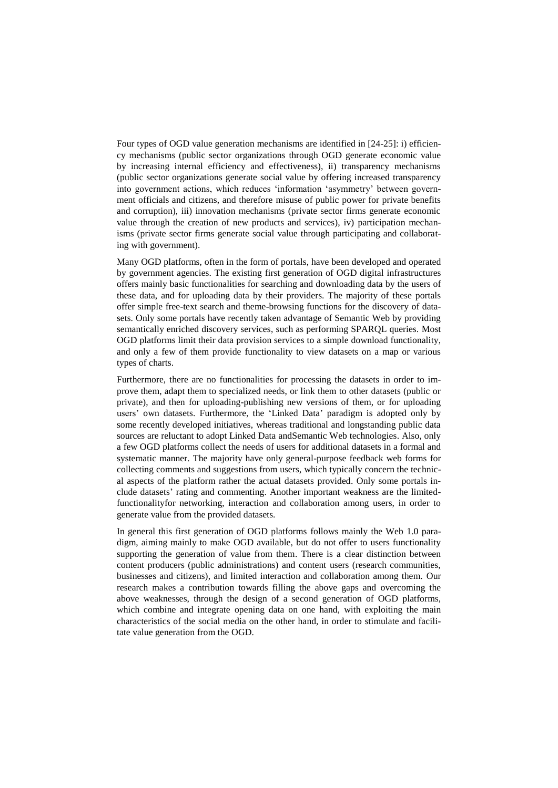Four types of OGD value generation mechanisms are identified in [24-25]: i) efficiency mechanisms (public sector organizations through OGD generate economic value by increasing internal efficiency and effectiveness), ii) transparency mechanisms (public sector organizations generate social value by offering increased transparency into government actions, which reduces "information "asymmetry" between government officials and citizens, and therefore misuse of public power for private benefits and corruption), iii) innovation mechanisms (private sector firms generate economic value through the creation of new products and services), iv) participation mechanisms (private sector firms generate social value through participating and collaborating with government).

Many OGD platforms, often in the form of portals, have been developed and operated by government agencies. The existing first generation of OGD digital infrastructures offers mainly basic functionalities for searching and downloading data by the users of these data, and for uploading data by their providers. The majority of these portals offer simple free-text search and theme-browsing functions for the discovery of datasets. Only some portals have recently taken advantage of Semantic Web by providing semantically enriched discovery services, such as performing SPARQL queries. Most OGD platforms limit their data provision services to a simple download functionality, and only a few of them provide functionality to view datasets on a map or various types of charts.

Furthermore, there are no functionalities for processing the datasets in order to improve them, adapt them to specialized needs, or link them to other datasets (public or private), and then for uploading-publishing new versions of them, or for uploading users' own datasets. Furthermore, the 'Linked Data' paradigm is adopted only by some recently developed initiatives, whereas traditional and longstanding public data sources are reluctant to adopt Linked Data andSemantic Web technologies. Also, only a few OGD platforms collect the needs of users for additional datasets in a formal and systematic manner. The majority have only general-purpose feedback web forms for collecting comments and suggestions from users, which typically concern the technical aspects of the platform rather the actual datasets provided. Only some portals include datasets' rating and commenting. Another important weakness are the limitedfunctionalityfor networking, interaction and collaboration among users, in order to generate value from the provided datasets.

In general this first generation of OGD platforms follows mainly the Web 1.0 paradigm, aiming mainly to make OGD available, but do not offer to users functionality supporting the generation of value from them. There is a clear distinction between content producers (public administrations) and content users (research communities, businesses and citizens), and limited interaction and collaboration among them. Our research makes a contribution towards filling the above gaps and overcoming the above weaknesses, through the design of a second generation of OGD platforms, which combine and integrate opening data on one hand, with exploiting the main characteristics of the social media on the other hand, in order to stimulate and facilitate value generation from the OGD.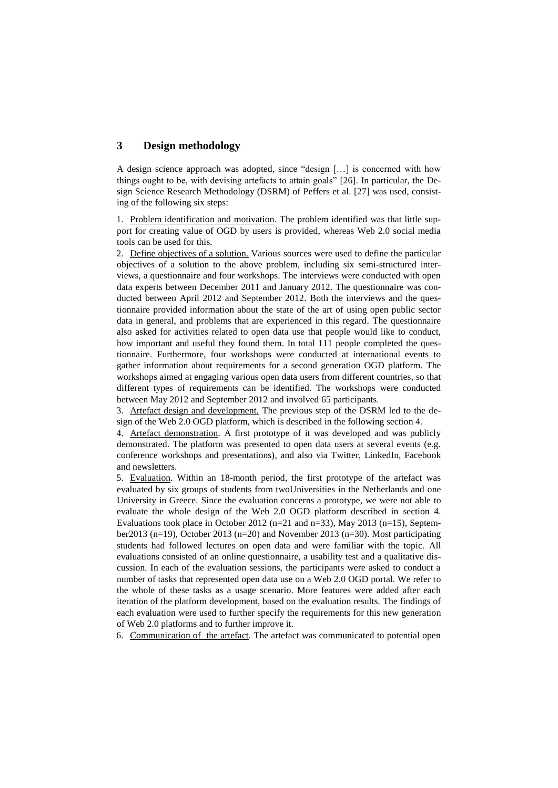## **3 Design methodology**

A design science approach was adopted, since "design […] is concerned with how things ought to be, with devising artefacts to attain goals" [26]. In particular, the Design Science Research Methodology (DSRM) of Peffers et al. [27] was used, consisting of the following six steps:

1. Problem identification and motivation. The problem identified was that little support for creating value of OGD by users is provided, whereas Web 2.0 social media tools can be used for this.

2. Define objectives of a solution. Various sources were used to define the particular objectives of a solution to the above problem, including six semi-structured interviews, a questionnaire and four workshops. The interviews were conducted with open data experts between December 2011 and January 2012. The questionnaire was conducted between April 2012 and September 2012. Both the interviews and the questionnaire provided information about the state of the art of using open public sector data in general, and problems that are experienced in this regard. The questionnaire also asked for activities related to open data use that people would like to conduct, how important and useful they found them. In total 111 people completed the questionnaire. Furthermore, four workshops were conducted at international events to gather information about requirements for a second generation OGD platform. The workshops aimed at engaging various open data users from different countries, so that different types of requirements can be identified. The workshops were conducted between May 2012 and September 2012 and involved 65 participants.

3. Artefact design and development. The previous step of the DSRM led to the design of the Web 2.0 OGD platform, which is described in the following section 4.

4. Artefact demonstration. A first prototype of it was developed and was publicly demonstrated. The platform was presented to open data users at several events (e.g. conference workshops and presentations), and also via Twitter, LinkedIn, Facebook and newsletters.

5. Evaluation. Within an 18-month period, the first prototype of the artefact was evaluated by six groups of students from twoUniversities in the Netherlands and one University in Greece. Since the evaluation concerns a prototype, we were not able to evaluate the whole design of the Web 2.0 OGD platform described in section 4. Evaluations took place in October 2012 (n=21 and n=33), May 2013 (n=15), September2013 (n=19), October 2013 (n=20) and November 2013 (n=30). Most participating students had followed lectures on open data and were familiar with the topic. All evaluations consisted of an online questionnaire, a usability test and a qualitative discussion. In each of the evaluation sessions, the participants were asked to conduct a number of tasks that represented open data use on a Web 2.0 OGD portal. We refer to the whole of these tasks as a usage scenario. More features were added after each iteration of the platform development, based on the evaluation results. The findings of each evaluation were used to further specify the requirements for this new generation of Web 2.0 platforms and to further improve it.

6. Communication of the artefact. The artefact was communicated to potential open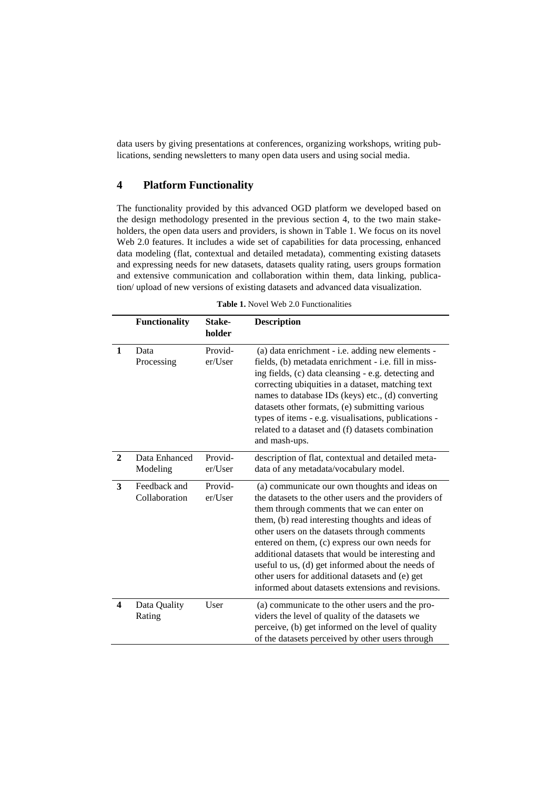data users by giving presentations at conferences, organizing workshops, writing publications, sending newsletters to many open data users and using social media.

# **4 Platform Functionality**

The functionality provided by this advanced OGD platform we developed based on the design methodology presented in the previous section 4, to the two main stakeholders, the open data users and providers, is shown in Table 1. We focus on its novel Web 2.0 features. It includes a wide set of capabilities for data processing, enhanced data modeling (flat, contextual and detailed metadata), commenting existing datasets and expressing needs for new datasets, datasets quality rating, users groups formation and extensive communication and collaboration within them, data linking, publication/ upload of new versions of existing datasets and advanced data visualization.

**Table 1.** Novel Web 2.0 Functionalities

|                  | <b>Functionality</b>          | Stake-<br>holder   | <b>Description</b>                                                                                                                                                                                                                                                                                                                                                                                                                                                                                                          |
|------------------|-------------------------------|--------------------|-----------------------------------------------------------------------------------------------------------------------------------------------------------------------------------------------------------------------------------------------------------------------------------------------------------------------------------------------------------------------------------------------------------------------------------------------------------------------------------------------------------------------------|
| 1                | Data<br>Processing            | Provid-<br>er/User | (a) data enrichment - i.e. adding new elements -<br>fields, (b) metadata enrichment - i.e. fill in miss-<br>ing fields, (c) data cleansing - e.g. detecting and<br>correcting ubiquities in a dataset, matching text<br>names to database IDs (keys) etc., (d) converting<br>datasets other formats, (e) submitting various<br>types of items - e.g. visualisations, publications -<br>related to a dataset and (f) datasets combination<br>and mash-ups.                                                                   |
| $\mathbf{2}$     | Data Enhanced<br>Modeling     | Provid-<br>er/User | description of flat, contextual and detailed meta-<br>data of any metadata/vocabulary model.                                                                                                                                                                                                                                                                                                                                                                                                                                |
| 3                | Feedback and<br>Collaboration | Provid-<br>er/User | (a) communicate our own thoughts and ideas on<br>the datasets to the other users and the providers of<br>them through comments that we can enter on<br>them, (b) read interesting thoughts and ideas of<br>other users on the datasets through comments<br>entered on them, (c) express our own needs for<br>additional datasets that would be interesting and<br>useful to us, (d) get informed about the needs of<br>other users for additional datasets and (e) get<br>informed about datasets extensions and revisions. |
| $\boldsymbol{4}$ | Data Quality<br>Rating        | User               | (a) communicate to the other users and the pro-<br>viders the level of quality of the datasets we<br>perceive, (b) get informed on the level of quality<br>of the datasets perceived by other users through                                                                                                                                                                                                                                                                                                                 |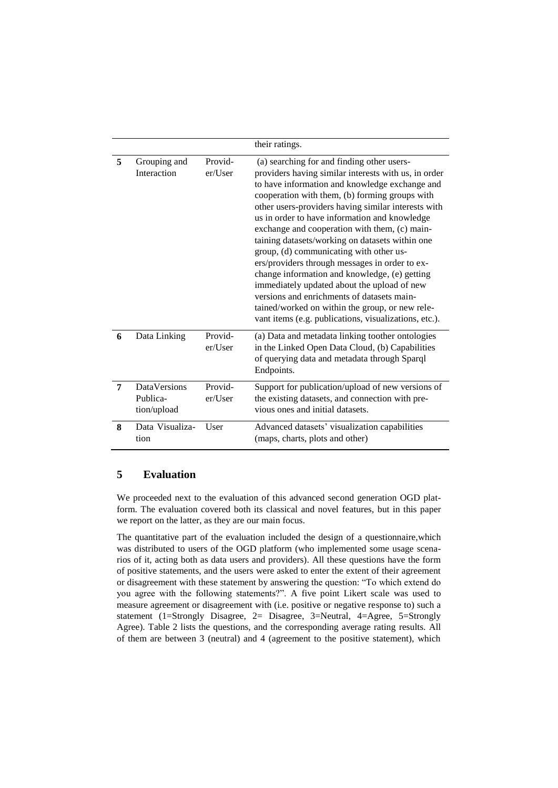|   |                                                |                    | their ratings.                                                                                                                                                                                                                                                                                                                                                                                                                                                                                                                                                                                                                                                                                                                                                            |
|---|------------------------------------------------|--------------------|---------------------------------------------------------------------------------------------------------------------------------------------------------------------------------------------------------------------------------------------------------------------------------------------------------------------------------------------------------------------------------------------------------------------------------------------------------------------------------------------------------------------------------------------------------------------------------------------------------------------------------------------------------------------------------------------------------------------------------------------------------------------------|
| 5 | Grouping and<br>Interaction                    | Provid-<br>er/User | (a) searching for and finding other users-<br>providers having similar interests with us, in order<br>to have information and knowledge exchange and<br>cooperation with them, (b) forming groups with<br>other users-providers having similar interests with<br>us in order to have information and knowledge<br>exchange and cooperation with them, (c) main-<br>taining datasets/working on datasets within one<br>group, (d) communicating with other us-<br>ers/providers through messages in order to ex-<br>change information and knowledge, (e) getting<br>immediately updated about the upload of new<br>versions and enrichments of datasets main-<br>tained/worked on within the group, or new rele-<br>vant items (e.g. publications, visualizations, etc.). |
| 6 | Data Linking                                   | Provid-<br>er/User | (a) Data and metadata linking toother ontologies<br>in the Linked Open Data Cloud, (b) Capabilities<br>of querying data and metadata through Sparql<br>Endpoints.                                                                                                                                                                                                                                                                                                                                                                                                                                                                                                                                                                                                         |
| 7 | <b>DataVersions</b><br>Publica-<br>tion/upload | Provid-<br>er/User | Support for publication/upload of new versions of<br>the existing datasets, and connection with pre-<br>vious ones and initial datasets.                                                                                                                                                                                                                                                                                                                                                                                                                                                                                                                                                                                                                                  |
| 8 | Data Visualiza-<br>tion                        | User               | Advanced datasets' visualization capabilities<br>(maps, charts, plots and other)                                                                                                                                                                                                                                                                                                                                                                                                                                                                                                                                                                                                                                                                                          |

# **5 Evaluation**

We proceeded next to the evaluation of this advanced second generation OGD platform. The evaluation covered both its classical and novel features, but in this paper we report on the latter, as they are our main focus.

The quantitative part of the evaluation included the design of a questionnaire,which was distributed to users of the OGD platform (who implemented some usage scenarios of it, acting both as data users and providers). All these questions have the form of positive statements, and the users were asked to enter the extent of their agreement or disagreement with these statement by answering the question: "To which extend do you agree with the following statements?". A five point Likert scale was used to measure agreement or disagreement with (i.e. positive or negative response to) such a statement (1=Strongly Disagree, 2= Disagree, 3=Neutral, 4=Agree, 5=Strongly Agree). Table 2 lists the questions, and the corresponding average rating results. All of them are between 3 (neutral) and 4 (agreement to the positive statement), which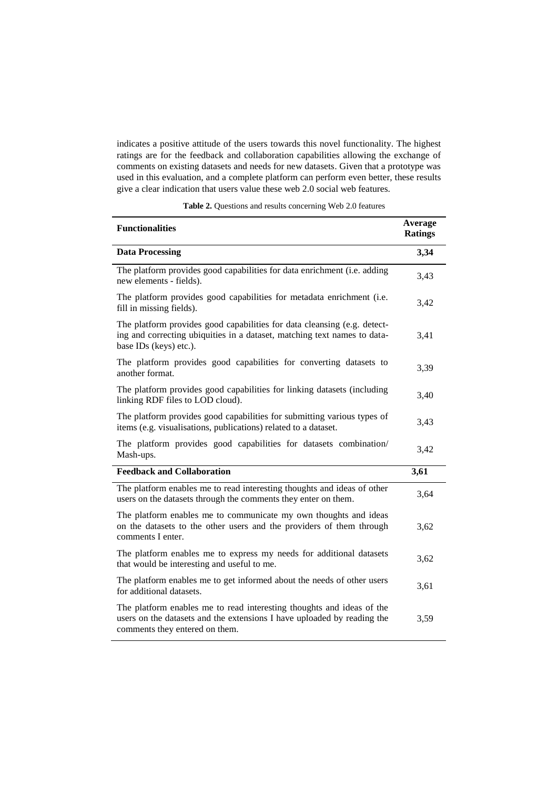indicates a positive attitude of the users towards this novel functionality. The highest ratings are for the feedback and collaboration capabilities allowing the exchange of comments on existing datasets and needs for new datasets. Given that a prototype was used in this evaluation, and a complete platform can perform even better, these results give a clear indication that users value these web 2.0 social web features.

| <b>Functionalities</b>                                                                                                                                                             | Average<br><b>Ratings</b> |
|------------------------------------------------------------------------------------------------------------------------------------------------------------------------------------|---------------------------|
| <b>Data Processing</b>                                                                                                                                                             | 3,34                      |
| The platform provides good capabilities for data enrichment (i.e. adding<br>new elements - fields).                                                                                | 3,43                      |
| The platform provides good capabilities for metadata enrichment (i.e.<br>fill in missing fields).                                                                                  | 3,42                      |
| The platform provides good capabilities for data cleansing (e.g. detect-<br>ing and correcting ubiquities in a dataset, matching text names to data-<br>base IDs (keys) etc.).     | 3,41                      |
| The platform provides good capabilities for converting datasets to<br>another format.                                                                                              | 3,39                      |
| The platform provides good capabilities for linking datasets (including<br>linking RDF files to LOD cloud).                                                                        | 3,40                      |
| The platform provides good capabilities for submitting various types of<br>items (e.g. visualisations, publications) related to a dataset.                                         | 3,43                      |
| The platform provides good capabilities for datasets combination/<br>Mash-ups.                                                                                                     | 3,42                      |
| <b>Feedback and Collaboration</b>                                                                                                                                                  | 3,61                      |
| The platform enables me to read interesting thoughts and ideas of other<br>users on the datasets through the comments they enter on them.                                          | 3,64                      |
| The platform enables me to communicate my own thoughts and ideas<br>on the datasets to the other users and the providers of them through<br>comments I enter.                      | 3,62                      |
| The platform enables me to express my needs for additional datasets<br>that would be interesting and useful to me.                                                                 | 3,62                      |
| The platform enables me to get informed about the needs of other users<br>for additional datasets.                                                                                 | 3,61                      |
| The platform enables me to read interesting thoughts and ideas of the<br>users on the datasets and the extensions I have uploaded by reading the<br>comments they entered on them. | 3,59                      |

**Table 2.** Questions and results concerning Web 2.0 features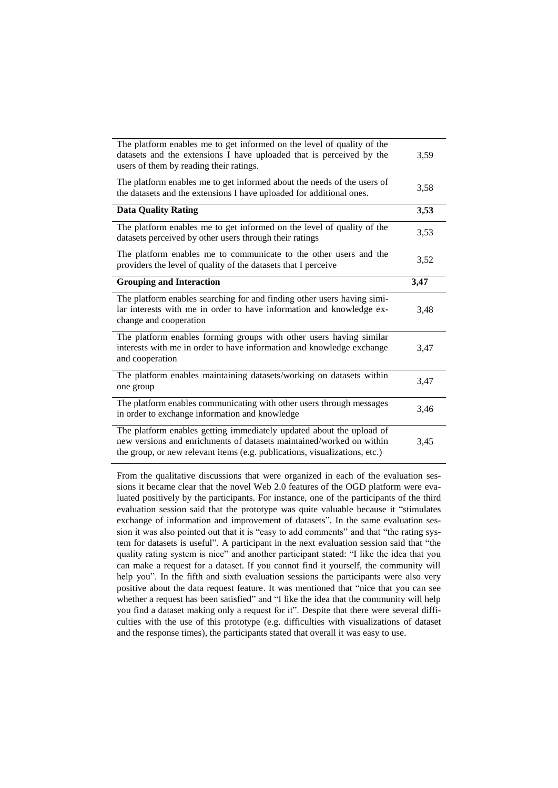| The platform enables me to get informed on the level of quality of the<br>datasets and the extensions I have uploaded that is perceived by the<br>users of them by reading their ratings. | 3,59 |
|-------------------------------------------------------------------------------------------------------------------------------------------------------------------------------------------|------|
| The platform enables me to get informed about the needs of the users of<br>the datasets and the extensions I have uploaded for additional ones.                                           | 3,58 |
| <b>Data Quality Rating</b>                                                                                                                                                                | 3,53 |
| The platform enables me to get informed on the level of quality of the<br>datasets perceived by other users through their ratings                                                         | 3,53 |
| The platform enables me to communicate to the other users and the<br>providers the level of quality of the datasets that I perceive                                                       | 3,52 |
| <b>Grouping and Interaction</b>                                                                                                                                                           | 3,47 |
| The platform enables searching for and finding other users having simi-                                                                                                                   |      |
| lar interests with me in order to have information and knowledge ex-<br>change and cooperation                                                                                            | 3,48 |
| The platform enables forming groups with other users having similar<br>interests with me in order to have information and knowledge exchange<br>and cooperation                           | 3,47 |
| The platform enables maintaining datasets/working on datasets within<br>one group                                                                                                         | 3,47 |
| The platform enables communicating with other users through messages<br>in order to exchange information and knowledge                                                                    | 3,46 |

From the qualitative discussions that were organized in each of the evaluation sessions it became clear that the novel Web 2.0 features of the OGD platform were evaluated positively by the participants. For instance, one of the participants of the third evaluation session said that the prototype was quite valuable because it "stimulates exchange of information and improvement of datasets". In the same evaluation session it was also pointed out that it is "easy to add comments" and that "the rating system for datasets is useful". A participant in the next evaluation session said that "the quality rating system is nice" and another participant stated: "I like the idea that you can make a request for a dataset. If you cannot find it yourself, the community will help you". In the fifth and sixth evaluation sessions the participants were also very positive about the data request feature. It was mentioned that "nice that you can see whether a request has been satisfied" and "I like the idea that the community will help you find a dataset making only a request for it". Despite that there were several difficulties with the use of this prototype (e.g. difficulties with visualizations of dataset and the response times), the participants stated that overall it was easy to use.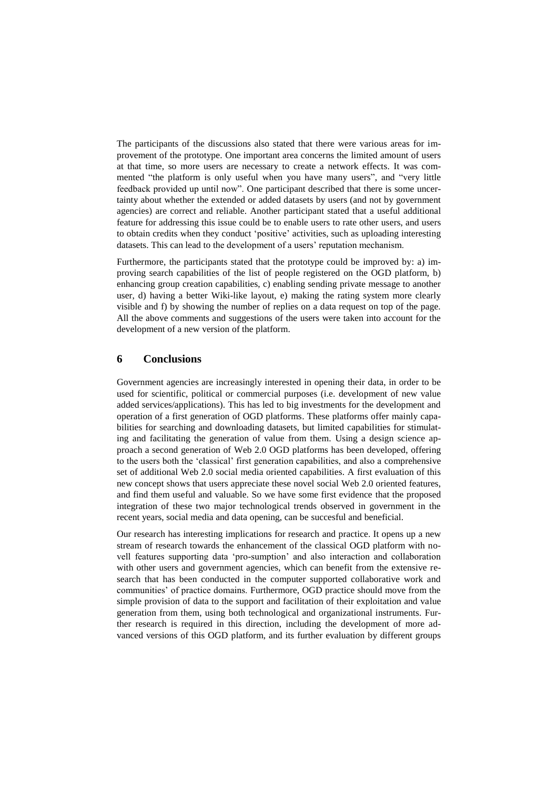The participants of the discussions also stated that there were various areas for improvement of the prototype. One important area concerns the limited amount of users at that time, so more users are necessary to create a network effects. It was commented "the platform is only useful when you have many users", and "very little feedback provided up until now". One participant described that there is some uncertainty about whether the extended or added datasets by users (and not by government agencies) are correct and reliable. Another participant stated that a useful additional feature for addressing this issue could be to enable users to rate other users, and users to obtain credits when they conduct "positive" activities, such as uploading interesting datasets. This can lead to the development of a users' reputation mechanism.

Furthermore, the participants stated that the prototype could be improved by: a) improving search capabilities of the list of people registered on the OGD platform, b) enhancing group creation capabilities, c) enabling sending private message to another user, d) having a better Wiki-like layout, e) making the rating system more clearly visible and f) by showing the number of replies on a data request on top of the page. All the above comments and suggestions of the users were taken into account for the development of a new version of the platform.

### **6 Conclusions**

Government agencies are increasingly interested in opening their data, in order to be used for scientific, political or commercial purposes (i.e. development of new value added services/applications). This has led to big investments for the development and operation of a first generation of OGD platforms. These platforms offer mainly capabilities for searching and downloading datasets, but limited capabilities for stimulating and facilitating the generation of value from them. Using a design science approach a second generation of Web 2.0 OGD platforms has been developed, offering to the users both the "classical" first generation capabilities, and also a comprehensive set of additional Web 2.0 social media oriented capabilities. A first evaluation of this new concept shows that users appreciate these novel social Web 2.0 oriented features, and find them useful and valuable. So we have some first evidence that the proposed integration of these two major technological trends observed in government in the recent years, social media and data opening, can be succesful and beneficial.

Our research has interesting implications for research and practice. It opens up a new stream of research towards the enhancement of the classical OGD platform with novell features supporting data "pro-sumption" and also interaction and collaboration with other users and government agencies, which can benefit from the extensive research that has been conducted in the computer supported collaborative work and communities" of practice domains. Furthermore, OGD practice should move from the simple provision of data to the support and facilitation of their exploitation and value generation from them, using both technological and organizational instruments. Further research is required in this direction, including the development of more advanced versions of this OGD platform, and its further evaluation by different groups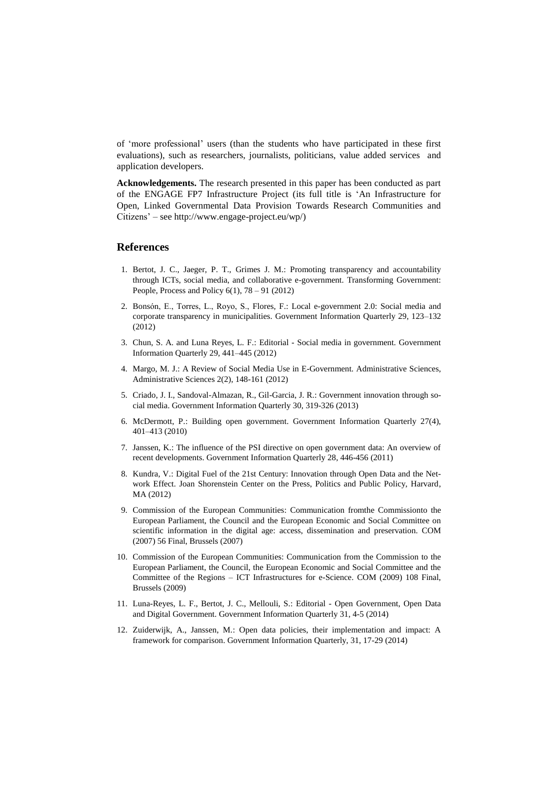of "more professional" users (than the students who have participated in these first evaluations), such as researchers, journalists, politicians, value added services and application developers.

**Acknowledgements.** The research presented in this paper has been conducted as part of the ENGAGE FP7 Infrastructure Project (its full title is "An Infrastructure for Open, Linked Governmental Data Provision Towards Research Communities and Citizens" – see http://www.engage-project.eu/wp/)

#### **References**

- 1. Bertot, J. C., Jaeger, P. T., Grimes J. M.: Promoting transparency and accountability through ICTs, social media, and collaborative e-government. Transforming Government: People, Process and Policy  $6(1)$ ,  $78 - 91(2012)$
- 2. Bonsón, E., Torres, L., Royo, S., Flores, F.: Local e-government 2.0: Social media and corporate transparency in municipalities. Government Information Quarterly 29, 123–132 (2012)
- 3. Chun, S. A. and Luna Reyes, L. F.: Editorial Social media in government. Government Information Quarterly 29, 441–445 (2012)
- 4. Margo, M. J.: A Review of Social Media Use in E-Government. Administrative Sciences, Administrative Sciences 2(2), 148-161 (2012)
- 5. Criado, J. I., Sandoval-Almazan, R., Gil-Garcia, J. R.: Government innovation through social media. Government Information Quarterly 30, 319-326 (2013)
- 6. McDermott, P.: Building open government. Government Information Quarterly 27(4), 401–413 (2010)
- 7. Janssen, K.: The influence of the PSI directive on open government data: An overview of recent developments. Government Information Quarterly 28, 446-456 (2011)
- 8. Kundra, V.: Digital Fuel of the 21st Century: Innovation through Open Data and the Network Effect. Joan Shorenstein Center on the Press, Politics and Public Policy, Harvard, MA (2012)
- 9. Commission of the European Communities: Communication fromthe Commissionto the European Parliament, the Council and the European Economic and Social Committee on scientific information in the digital age: access, dissemination and preservation. COM (2007) 56 Final, Brussels (2007)
- 10. Commission of the European Communities: Communication from the Commission to the European Parliament, the Council, the European Economic and Social Committee and the Committee of the Regions – ICT Infrastructures for e-Science. COM (2009) 108 Final, Brussels (2009)
- 11. Luna-Reyes, L. F., Bertot, J. C., Mellouli, S.: Editorial Open Government, Open Data and Digital Government. Government Information Quarterly 31, 4-5 (2014)
- 12. Zuiderwijk, A., Janssen, M.: Open data policies, their implementation and impact: A framework for comparison. Government Information Quarterly, 31, 17-29 (2014)